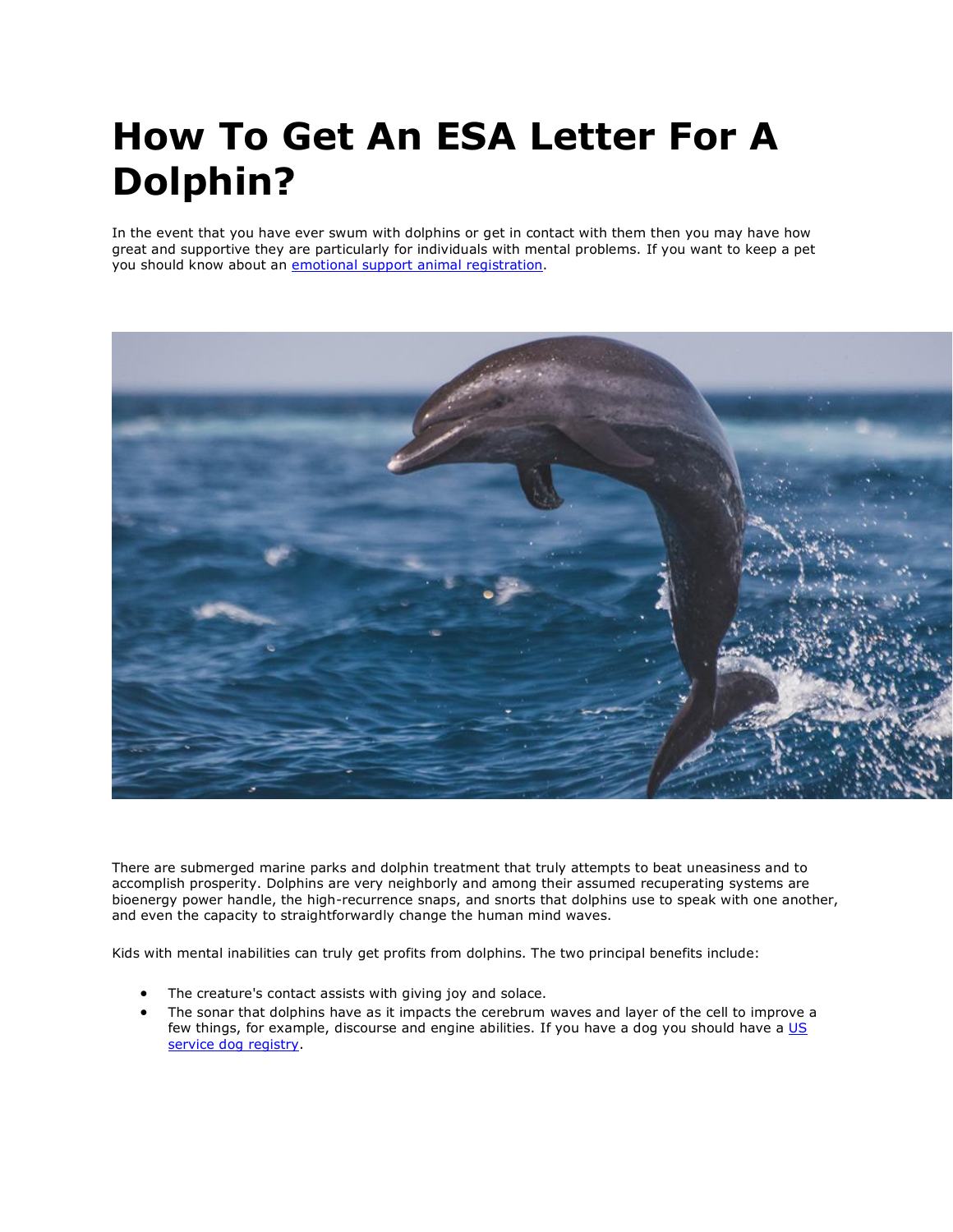# **How To Get An ESA Letter For A Dolphin?**

In the event that you have ever swum with dolphins or get in contact with them then you may have how great and supportive they are particularly for individuals with mental problems. If you want to keep a pet you should know about an *emotional support animal registration*.



There are submerged marine parks and dolphin treatment that truly attempts to beat uneasiness and to accomplish prosperity. Dolphins are very neighborly and among their assumed recuperating systems are bioenergy power handle, the high-recurrence snaps, and snorts that dolphins use to speak with one another, and even the capacity to straightforwardly change the human mind waves.

Kids with mental inabilities can truly get profits from dolphins. The two principal benefits include:

- The creature's contact assists with giving joy and solace.
- The sonar that dolphins have as it impacts the cerebrum waves and layer of the cell to improve a few things, for example, discourse and engine abilities. If you have a dog you should have a US [service dog registry.](https://www.realesaletter.com/sample-esa-letter)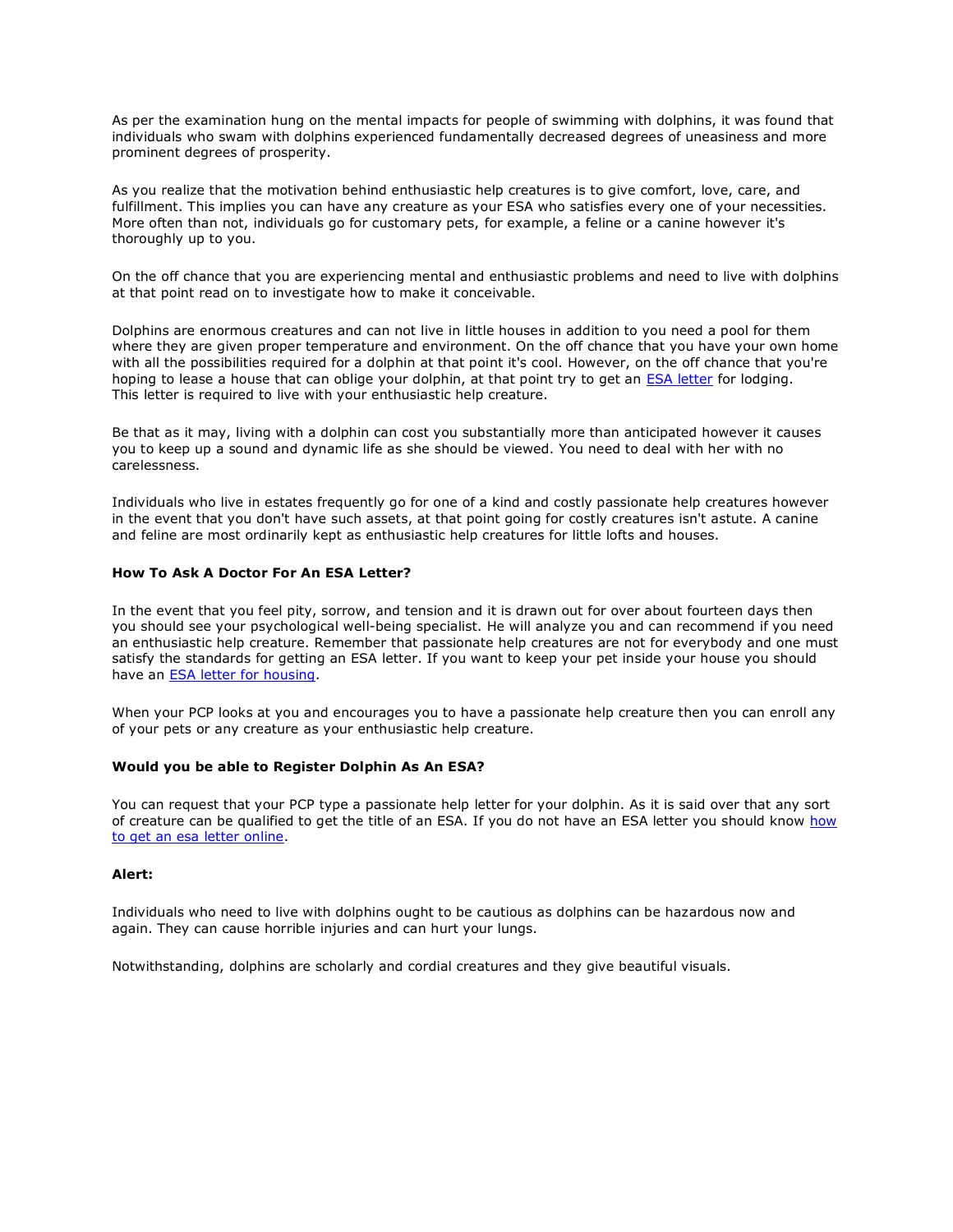As per the examination hung on the mental impacts for people of swimming with dolphins, it was found that individuals who swam with dolphins experienced fundamentally decreased degrees of uneasiness and more prominent degrees of prosperity.

As you realize that the motivation behind enthusiastic help creatures is to give comfort, love, care, and fulfillment. This implies you can have any creature as your ESA who satisfies every one of your necessities. More often than not, individuals go for customary pets, for example, a feline or a canine however it's thoroughly up to you.

On the off chance that you are experiencing mental and enthusiastic problems and need to live with dolphins at that point read on to investigate how to make it conceivable.

Dolphins are enormous creatures and can not live in little houses in addition to you need a pool for them where they are given proper temperature and environment. On the off chance that you have your own home with all the possibilities required for a dolphin at that point it's cool. However, on the off chance that you're hoping to lease a house that can oblige your dolphin, at that point try to get an [ESA letter](https://www.realesaletter.com/sample-esa-letter) for lodging. This letter is required to live with your enthusiastic help creature.

Be that as it may, living with a dolphin can cost you substantially more than anticipated however it causes you to keep up a sound and dynamic life as she should be viewed. You need to deal with her with no carelessness.

Individuals who live in estates frequently go for one of a kind and costly passionate help creatures however in the event that you don't have such assets, at that point going for costly creatures isn't astute. A canine and feline are most ordinarily kept as enthusiastic help creatures for little lofts and houses.

### **How To Ask A Doctor For An ESA Letter?**

In the event that you feel pity, sorrow, and tension and it is drawn out for over about fourteen days then you should see your psychological well-being specialist. He will analyze you and can recommend if you need an enthusiastic help creature. Remember that passionate help creatures are not for everybody and one must satisfy the standards for getting an ESA letter. If you want to keep your pet inside your house you should have an [ESA letter for housing.](https://www.realesaletter.com/sample-esa-letter)

When your PCP looks at you and encourages you to have a passionate help creature then you can enroll any of your pets or any creature as your enthusiastic help creature.

#### **Would you be able to Register Dolphin As An ESA?**

You can request that your PCP type a passionate help letter for your dolphin. As it is said over that any sort of creature can be qualified to get the title of an ESA. If you do not have an ESA letter you should know how [to get an esa letter online.](https://www.realesaletter.com/blog/emotional-support-animal-letter)

#### **Alert:**

Individuals who need to live with dolphins ought to be cautious as dolphins can be hazardous now and again. They can cause horrible injuries and can hurt your lungs.

Notwithstanding, dolphins are scholarly and cordial creatures and they give beautiful visuals.